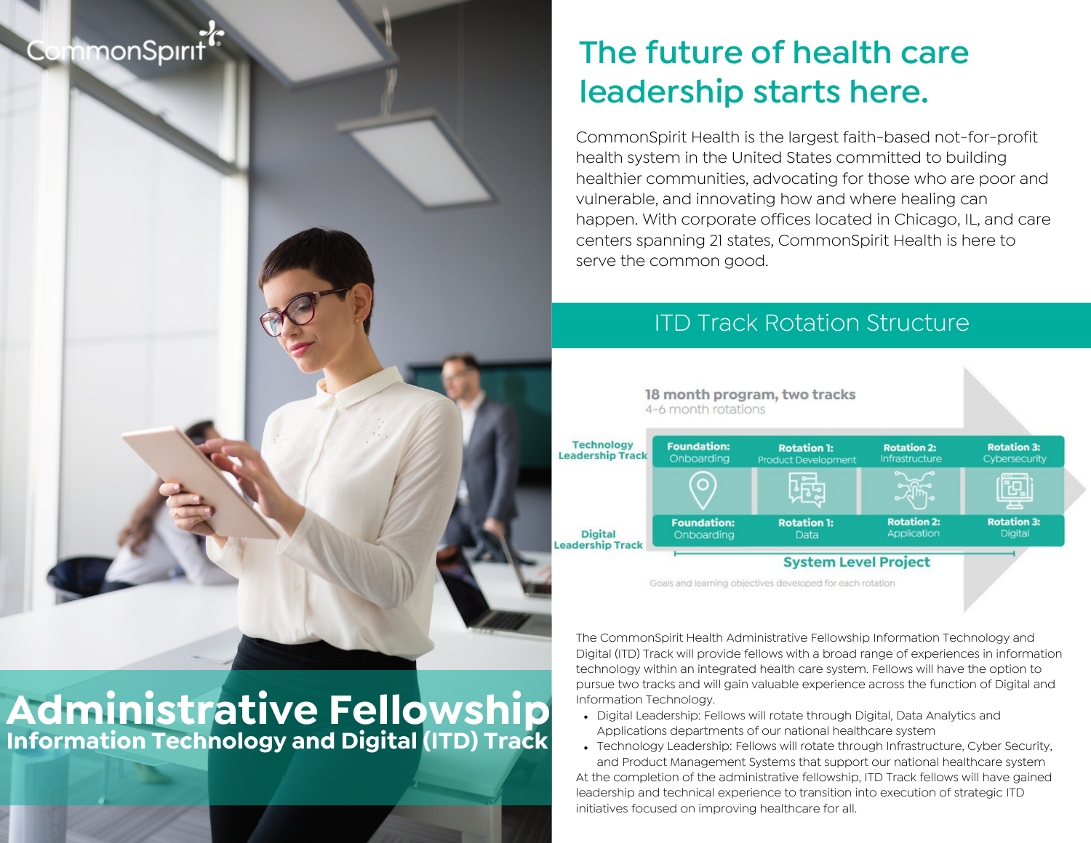# **The future of health care leadership starts here.**

CommonSpirit Health is the largest faith-based not-for-profit health system in the United States committed to building healthier communities, advocating for those who are poor and vulnerable, and innovating how and where healing can happen. With corporate offices located in Chicago, IL, and care centers spanning 21 states, CommonSpirit Health is here to serve the common good.

#### ITD Track Rotation Structure



Goals and learning objectives developed for each rotation

The CommonSpirit Health Administrative Fellowship Information Technology and Digital (ITD) Track will provide fellows with a broad range of experiences in information technology within an integrated health care system. Fellows will have the option to pursue two tracks and will gain valuable experience across the function of Digital and Information Technology.

- Digital Leadership: Fellows will rotate through Digital, Data Analytics and Applications departments of our national healthcare system
- Technology Leadership: Fellows will rotate through Infrastructure, Cyber Security, and Product Management Systems that support our national healthcare system

At the completion of the administrative fellowship, ITD Track fellows will have gained leadership and technical experience to transition into execution of strategic ITD initiatives focused on improving healthcare for all.

## **Administrative Fellowship Information Technology and Digital (ITD) Track**

CommonSpirit